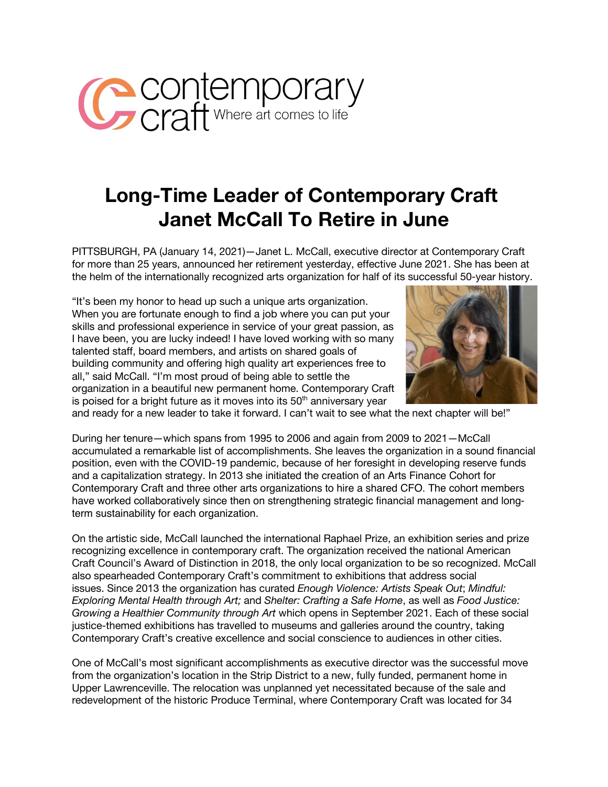

## **Long-Time Leader of Contemporary Craft Janet McCall To Retire in June**

PITTSBURGH, PA (January 14, 2021)—Janet L. McCall, executive director at Contemporary Craft for more than 25 years, announced her retirement yesterday, effective June 2021. She has been at the helm of the internationally recognized arts organization for half of its successful 50-year history.

"It's been my honor to head up such a unique arts organization. When you are fortunate enough to find a job where you can put your skills and professional experience in service of your great passion, as I have been, you are lucky indeed! I have loved working with so many talented staff, board members, and artists on shared goals of building community and offering high quality art experiences free to all," said McCall. "I'm most proud of being able to settle the organization in a beautiful new permanent home. Contemporary Craft is poised for a bright future as it moves into its  $50<sup>th</sup>$  anniversary year



and ready for a new leader to take it forward. I can't wait to see what the next chapter will be!"

During her tenure—which spans from 1995 to 2006 and again from 2009 to 2021—McCall accumulated a remarkable list of accomplishments. She leaves the organization in a sound financial position, even with the COVID-19 pandemic, because of her foresight in developing reserve funds and a capitalization strategy. In 2013 she initiated the creation of an Arts Finance Cohort for Contemporary Craft and three other arts organizations to hire a shared CFO. The cohort members have worked collaboratively since then on strengthening strategic financial management and longterm sustainability for each organization.

On the artistic side, McCall launched the international Raphael Prize, an exhibition series and prize recognizing excellence in contemporary craft. The organization received the national American Craft Council's Award of Distinction in 2018, the only local organization to be so recognized. McCall also spearheaded Contemporary Craft's commitment to exhibitions that address social issues. Since 2013 the organization has curated *Enough Violence: Artists Speak Out*; *Mindful: Exploring Mental Health through Art;* and *Shelter: Crafting a Safe Home*, as well as *Food Justice: Growing a Healthier Community through Art* which opens in September 2021. Each of these social justice-themed exhibitions has travelled to museums and galleries around the country, taking Contemporary Craft's creative excellence and social conscience to audiences in other cities.

One of McCall's most significant accomplishments as executive director was the successful move from the organization's location in the Strip District to a new, fully funded, permanent home in Upper Lawrenceville. The relocation was unplanned yet necessitated because of the sale and redevelopment of the historic Produce Terminal, where Contemporary Craft was located for 34